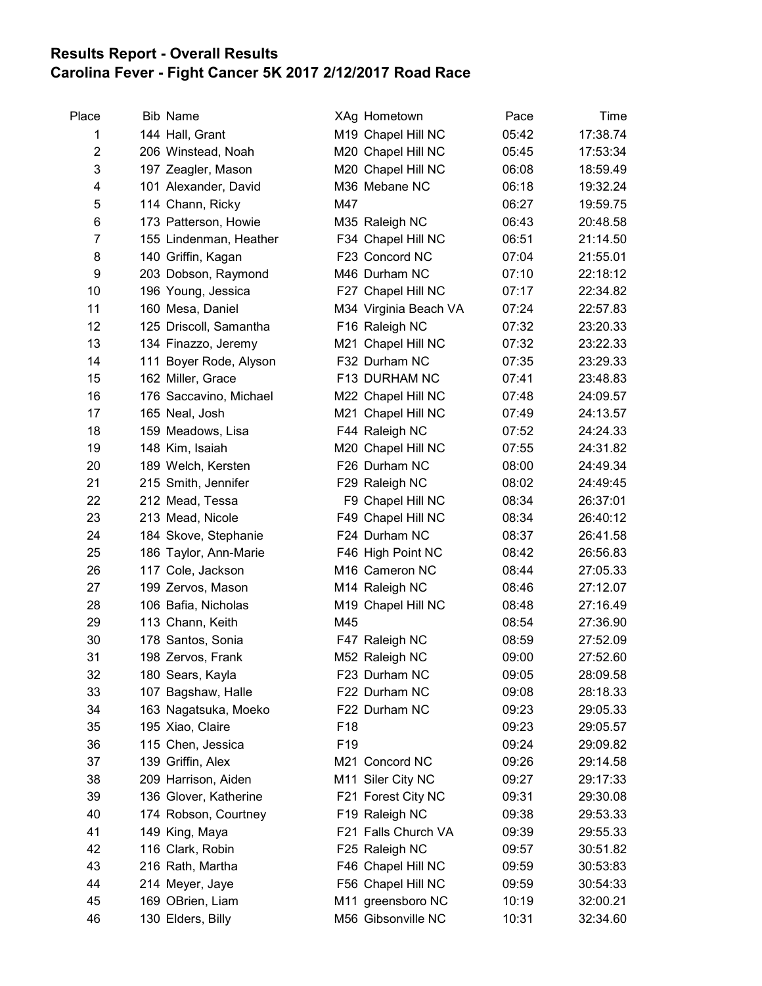## Results Report - Overall Results Carolina Fever - Fight Cancer 5K 2017 2/12/2017 Road Race

| Place          | <b>Bib Name</b>        | XAg Hometown          | Pace  | Time     |
|----------------|------------------------|-----------------------|-------|----------|
| 1              | 144 Hall, Grant        | M19 Chapel Hill NC    | 05:42 | 17:38.74 |
| $\overline{c}$ | 206 Winstead, Noah     | M20 Chapel Hill NC    | 05:45 | 17:53:34 |
| 3              | 197 Zeagler, Mason     | M20 Chapel Hill NC    | 06:08 | 18:59.49 |
| 4              | 101 Alexander, David   | M36 Mebane NC         | 06:18 | 19:32.24 |
| 5              | 114 Chann, Ricky       | M47                   | 06:27 | 19:59.75 |
| 6              | 173 Patterson, Howie   | M35 Raleigh NC        | 06:43 | 20:48.58 |
| $\overline{7}$ | 155 Lindenman, Heather | F34 Chapel Hill NC    | 06:51 | 21:14.50 |
| 8              | 140 Griffin, Kagan     | F23 Concord NC        | 07:04 | 21:55.01 |
| 9              | 203 Dobson, Raymond    | M46 Durham NC         | 07:10 | 22:18:12 |
| 10             | 196 Young, Jessica     | F27 Chapel Hill NC    | 07:17 | 22:34.82 |
| 11             | 160 Mesa, Daniel       | M34 Virginia Beach VA | 07:24 | 22:57.83 |
| 12             | 125 Driscoll, Samantha | F16 Raleigh NC        | 07:32 | 23:20.33 |
| 13             | 134 Finazzo, Jeremy    | M21 Chapel Hill NC    | 07:32 | 23:22.33 |
| 14             | 111 Boyer Rode, Alyson | F32 Durham NC         | 07:35 | 23:29.33 |
| 15             | 162 Miller, Grace      | F13 DURHAM NC         | 07:41 | 23:48.83 |
| 16             | 176 Saccavino, Michael | M22 Chapel Hill NC    | 07:48 | 24:09.57 |
| 17             | 165 Neal, Josh         | M21 Chapel Hill NC    | 07:49 | 24:13.57 |
| 18             | 159 Meadows, Lisa      | F44 Raleigh NC        | 07:52 | 24:24.33 |
| 19             | 148 Kim, Isaiah        | M20 Chapel Hill NC    | 07:55 | 24:31.82 |
| 20             | 189 Welch, Kersten     | F26 Durham NC         | 08:00 | 24:49.34 |
| 21             | 215 Smith, Jennifer    | F29 Raleigh NC        | 08:02 | 24:49:45 |
| 22             | 212 Mead, Tessa        | F9 Chapel Hill NC     | 08:34 | 26:37:01 |
| 23             | 213 Mead, Nicole       | F49 Chapel Hill NC    | 08:34 | 26:40:12 |
| 24             | 184 Skove, Stephanie   | F24 Durham NC         | 08:37 | 26:41.58 |
| 25             | 186 Taylor, Ann-Marie  | F46 High Point NC     | 08:42 | 26:56.83 |
| 26             | 117 Cole, Jackson      | M16 Cameron NC        | 08:44 | 27:05.33 |
| 27             | 199 Zervos, Mason      | M14 Raleigh NC        | 08:46 | 27:12.07 |
| 28             | 106 Bafia, Nicholas    | M19 Chapel Hill NC    | 08:48 | 27:16.49 |
| 29             | 113 Chann, Keith       | M45                   | 08:54 | 27:36.90 |
| 30             | 178 Santos, Sonia      | F47 Raleigh NC        | 08:59 | 27:52.09 |
| 31             | 198 Zervos, Frank      | M52 Raleigh NC        | 09:00 | 27:52.60 |
| 32             | 180 Sears, Kayla       | F23 Durham NC         | 09:05 | 28:09.58 |
| 33             | 107 Bagshaw, Halle     | F22 Durham NC         | 09:08 | 28:18.33 |
| 34             | 163 Nagatsuka, Moeko   | F22 Durham NC         | 09:23 | 29:05.33 |
| 35             | 195 Xiao, Claire       | F <sub>18</sub>       | 09:23 | 29:05.57 |
| 36             | 115 Chen, Jessica      | F <sub>19</sub>       | 09:24 | 29:09.82 |
| 37             | 139 Griffin, Alex      | M21 Concord NC        | 09:26 | 29:14.58 |
| 38             | 209 Harrison, Aiden    | M11 Siler City NC     | 09:27 | 29:17:33 |
| 39             | 136 Glover, Katherine  | F21 Forest City NC    | 09:31 | 29:30.08 |
| 40             | 174 Robson, Courtney   | F19 Raleigh NC        | 09:38 | 29:53.33 |
| 41             | 149 King, Maya         | F21 Falls Church VA   | 09:39 | 29:55.33 |
| 42             | 116 Clark, Robin       | F25 Raleigh NC        | 09:57 | 30:51.82 |
| 43             | 216 Rath, Martha       | F46 Chapel Hill NC    | 09:59 | 30:53:83 |
| 44             | 214 Meyer, Jaye        | F56 Chapel Hill NC    | 09:59 | 30:54:33 |
| 45             | 169 OBrien, Liam       | M11 greensboro NC     | 10:19 | 32:00.21 |
| 46             | 130 Elders, Billy      | M56 Gibsonville NC    | 10:31 | 32:34.60 |